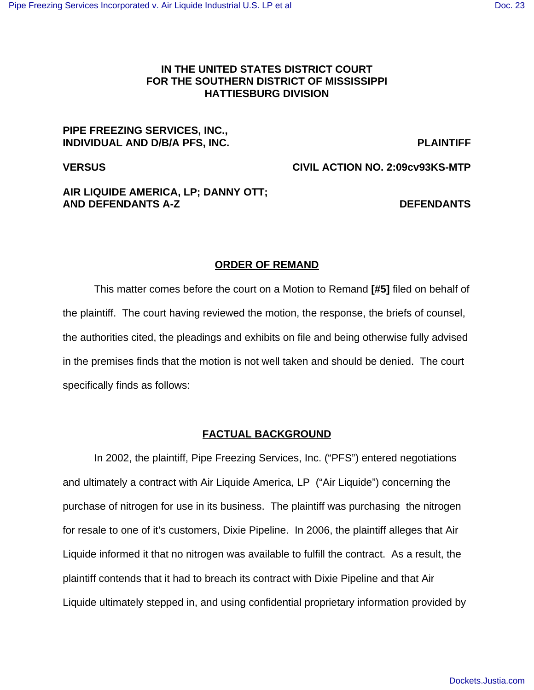## **IN THE UNITED STATES DISTRICT COURT FOR THE SOUTHERN DISTRICT OF MISSISSIPPI HATTIESBURG DIVISION**

### **PIPE FREEZING SERVICES, INC., INDIVIDUAL AND D/B/A PFS, INC. PLAINTIFF**

**VERSUS CIVIL ACTION NO. 2:09cv93KS-MTP**

# **AIR LIQUIDE AMERICA, LP; DANNY OTT; AND DEFENDANTS A-Z DEFENDANTS**

## **ORDER OF REMAND**

This matter comes before the court on a Motion to Remand **[#5]** filed on behalf of the plaintiff. The court having reviewed the motion, the response, the briefs of counsel, the authorities cited, the pleadings and exhibits on file and being otherwise fully advised in the premises finds that the motion is not well taken and should be denied. The court specifically finds as follows:

## **FACTUAL BACKGROUND**

In 2002, the plaintiff, Pipe Freezing Services, Inc. ("PFS") entered negotiations and ultimately a contract with Air Liquide America, LP ("Air Liquide") concerning the purchase of nitrogen for use in its business. The plaintiff was purchasing the nitrogen for resale to one of it's customers, Dixie Pipeline. In 2006, the plaintiff alleges that Air Liquide informed it that no nitrogen was available to fulfill the contract. As a result, the plaintiff contends that it had to breach its contract with Dixie Pipeline and that Air Liquide ultimately stepped in, and using confidential proprietary information provided by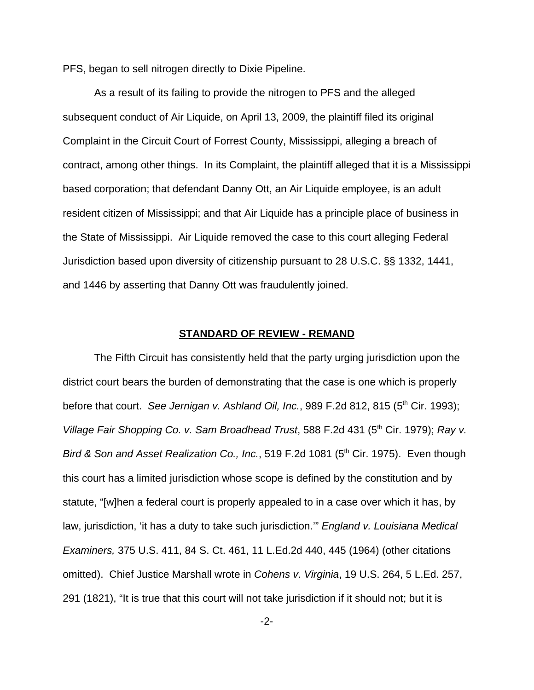PFS, began to sell nitrogen directly to Dixie Pipeline.

As a result of its failing to provide the nitrogen to PFS and the alleged subsequent conduct of Air Liquide, on April 13, 2009, the plaintiff filed its original Complaint in the Circuit Court of Forrest County, Mississippi, alleging a breach of contract, among other things. In its Complaint, the plaintiff alleged that it is a Mississippi based corporation; that defendant Danny Ott, an Air Liquide employee, is an adult resident citizen of Mississippi; and that Air Liquide has a principle place of business in the State of Mississippi. Air Liquide removed the case to this court alleging Federal Jurisdiction based upon diversity of citizenship pursuant to 28 U.S.C. §§ 1332, 1441, and 1446 by asserting that Danny Ott was fraudulently joined.

#### **STANDARD OF REVIEW - REMAND**

The Fifth Circuit has consistently held that the party urging jurisdiction upon the district court bears the burden of demonstrating that the case is one which is properly before that court. *See Jernigan v. Ashland Oil, Inc.*, 989 F.2d 812, 815 (5<sup>th</sup> Cir. 1993); *Village Fair Shopping Co. v. Sam Broadhead Trust*, 588 F.2d 431 (5<sup>th</sup> Cir. 1979); *Ray v. Bird & Son and Asset Realization Co., Inc.*, 519 F.2d 1081 (5<sup>th</sup> Cir. 1975). Even though this court has a limited jurisdiction whose scope is defined by the constitution and by statute, "[w]hen a federal court is properly appealed to in a case over which it has, by law, jurisdiction, 'it has a duty to take such jurisdiction.'" *England v. Louisiana Medical Examiners,* 375 U.S. 411, 84 S. Ct. 461, 11 L.Ed.2d 440, 445 (1964) (other citations omitted). Chief Justice Marshall wrote in *Cohens v. Virginia*, 19 U.S. 264, 5 L.Ed. 257, 291 (1821), "It is true that this court will not take jurisdiction if it should not; but it is

-2-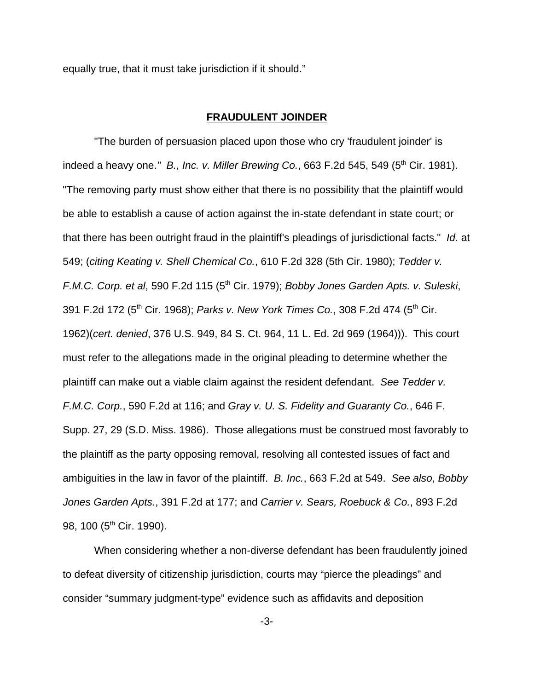equally true, that it must take jurisdiction if it should."

#### **FRAUDULENT JOINDER**

"The burden of persuasion placed upon those who cry 'fraudulent joinder' is indeed a heavy one." B., Inc. v. Miller Brewing Co., 663 F.2d 545, 549 (5<sup>th</sup> Cir. 1981). "The removing party must show either that there is no possibility that the plaintiff would be able to establish a cause of action against the in-state defendant in state court; or that there has been outright fraud in the plaintiff's pleadings of jurisdictional facts." *Id.* at 549; (*citing Keating v. Shell Chemical Co.*, 610 F.2d 328 (5th Cir. 1980); *Tedder v. F.M.C. Corp. et al,* 590 F.2d 115 (5<sup>th</sup> Cir. 1979); *Bobby Jones Garden Apts. v. Suleski*, 391 F.2d 172 (5<sup>th</sup> Cir. 1968); *Parks v. New York Times Co.*, 308 F.2d 474 (5<sup>th</sup> Cir. 1962)(*cert. denied*, 376 U.S. 949, 84 S. Ct. 964, 11 L. Ed. 2d 969 (1964))). This court must refer to the allegations made in the original pleading to determine whether the plaintiff can make out a viable claim against the resident defendant. *See Tedder v. F.M.C. Corp.*, 590 F.2d at 116; and *Gray v. U. S. Fidelity and Guaranty Co.*, 646 F. Supp. 27, 29 (S.D. Miss. 1986). Those allegations must be construed most favorably to the plaintiff as the party opposing removal, resolving all contested issues of fact and ambiguities in the law in favor of the plaintiff. *B. Inc.*, 663 F.2d at 549. *See also*, *Bobby Jones Garden Apts.*, 391 F.2d at 177; and *Carrier v. Sears, Roebuck & Co.*, 893 F.2d 98, 100 (5<sup>th</sup> Cir. 1990).

When considering whether a non-diverse defendant has been fraudulently joined to defeat diversity of citizenship jurisdiction, courts may "pierce the pleadings" and consider "summary judgment-type" evidence such as affidavits and deposition

-3-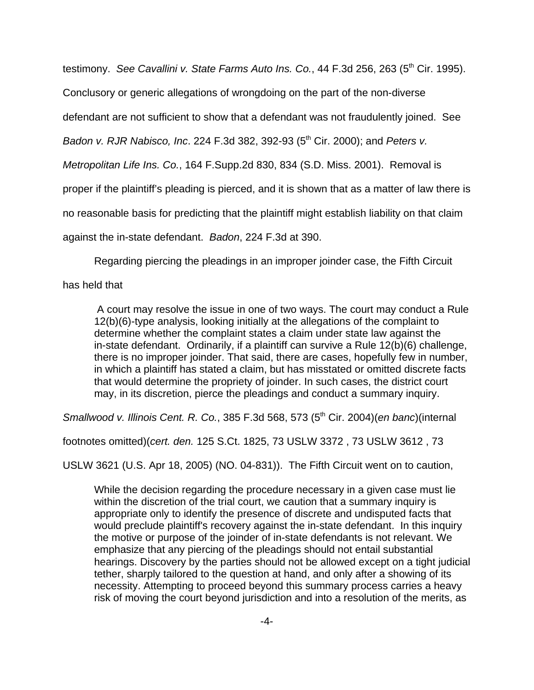testimony. *See Cavallini v. State Farms Auto Ins. Co.*, 44 F.3d 256, 263 (5<sup>th</sup> Cir. 1995).

Conclusory or generic allegations of wrongdoing on the part of the non-diverse

defendant are not sufficient to show that a defendant was not fraudulently joined. See

*Badon v. RJR Nabisco, Inc.* 224 F.3d 382, 392-93 (5<sup>th</sup> Cir. 2000); and *Peters v.* 

*Metropolitan Life Ins. Co.*, 164 F.Supp.2d 830, 834 (S.D. Miss. 2001). Removal is

proper if the plaintiff's pleading is pierced, and it is shown that as a matter of law there is

no reasonable basis for predicting that the plaintiff might establish liability on that claim

against the in-state defendant. *Badon*, 224 F.3d at 390.

Regarding piercing the pleadings in an improper joinder case, the Fifth Circuit

has held that

 A court may resolve the issue in one of two ways. The court may conduct a Rule 12(b)(6)-type analysis, looking initially at the allegations of the complaint to determine whether the complaint states a claim under state law against the in-state defendant. Ordinarily, if a plaintiff can survive a Rule 12(b)(6) challenge, there is no improper joinder. That said, there are cases, hopefully few in number, in which a plaintiff has stated a claim, but has misstated or omitted discrete facts that would determine the propriety of joinder. In such cases, the district court may, in its discretion, pierce the pleadings and conduct a summary inquiry.

*Smallwood v. Illinois Cent. R. Co.*, 385 F.3d 568, 573 (5th Cir. 2004)(*en banc*)(internal

footnotes omitted)(*cert. den.* 125 S.Ct. 1825, 73 USLW 3372 , 73 USLW 3612 , 73

USLW 3621 (U.S. Apr 18, 2005) (NO. 04-831)). The Fifth Circuit went on to caution,

While the decision regarding the procedure necessary in a given case must lie within the discretion of the trial court, we caution that a summary inquiry is appropriate only to identify the presence of discrete and undisputed facts that would preclude plaintiff's recovery against the in-state defendant. In this inquiry the motive or purpose of the joinder of in-state defendants is not relevant. We emphasize that any piercing of the pleadings should not entail substantial hearings. Discovery by the parties should not be allowed except on a tight judicial tether, sharply tailored to the question at hand, and only after a showing of its necessity. Attempting to proceed beyond this summary process carries a heavy risk of moving the court beyond jurisdiction and into a resolution of the merits, as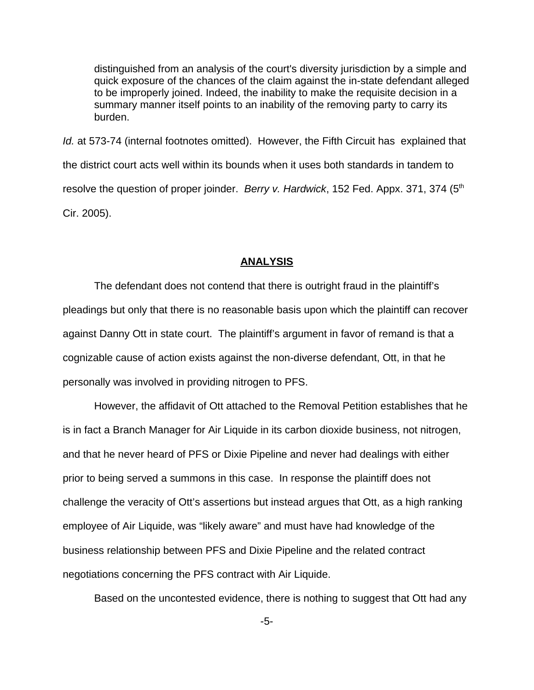distinguished from an analysis of the court's diversity jurisdiction by a simple and quick exposure of the chances of the claim against the in-state defendant alleged to be improperly joined. Indeed, the inability to make the requisite decision in a summary manner itself points to an inability of the removing party to carry its burden.

*Id.* at 573-74 (internal footnotes omitted). However, the Fifth Circuit has explained that the district court acts well within its bounds when it uses both standards in tandem to resolve the question of proper joinder. *Berry v. Hardwick*, 152 Fed. Appx. 371, 374 (5<sup>th</sup>) Cir. 2005).

#### **ANALYSIS**

The defendant does not contend that there is outright fraud in the plaintiff's pleadings but only that there is no reasonable basis upon which the plaintiff can recover against Danny Ott in state court. The plaintiff's argument in favor of remand is that a cognizable cause of action exists against the non-diverse defendant, Ott, in that he personally was involved in providing nitrogen to PFS.

However, the affidavit of Ott attached to the Removal Petition establishes that he is in fact a Branch Manager for Air Liquide in its carbon dioxide business, not nitrogen, and that he never heard of PFS or Dixie Pipeline and never had dealings with either prior to being served a summons in this case. In response the plaintiff does not challenge the veracity of Ott's assertions but instead argues that Ott, as a high ranking employee of Air Liquide, was "likely aware" and must have had knowledge of the business relationship between PFS and Dixie Pipeline and the related contract negotiations concerning the PFS contract with Air Liquide.

Based on the uncontested evidence, there is nothing to suggest that Ott had any

-5-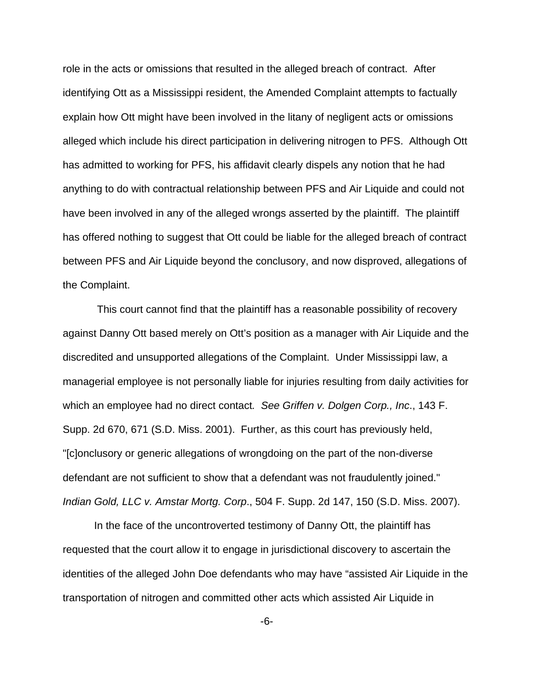role in the acts or omissions that resulted in the alleged breach of contract. After identifying Ott as a Mississippi resident, the Amended Complaint attempts to factually explain how Ott might have been involved in the litany of negligent acts or omissions alleged which include his direct participation in delivering nitrogen to PFS. Although Ott has admitted to working for PFS, his affidavit clearly dispels any notion that he had anything to do with contractual relationship between PFS and Air Liquide and could not have been involved in any of the alleged wrongs asserted by the plaintiff. The plaintiff has offered nothing to suggest that Ott could be liable for the alleged breach of contract between PFS and Air Liquide beyond the conclusory, and now disproved, allegations of the Complaint.

 This court cannot find that the plaintiff has a reasonable possibility of recovery against Danny Ott based merely on Ott's position as a manager with Air Liquide and the discredited and unsupported allegations of the Complaint. Under Mississippi law, a managerial employee is not personally liable for injuries resulting from daily activities for which an employee had no direct contact*. See Griffen v. Dolgen Corp., Inc*., 143 F. Supp. 2d 670, 671 (S.D. Miss. 2001). Further, as this court has previously held, "[c]onclusory or generic allegations of wrongdoing on the part of the non-diverse defendant are not sufficient to show that a defendant was not fraudulently joined." *Indian Gold, LLC v. Amstar Mortg. Corp*., 504 F. Supp. 2d 147, 150 (S.D. Miss. 2007).

In the face of the uncontroverted testimony of Danny Ott, the plaintiff has requested that the court allow it to engage in jurisdictional discovery to ascertain the identities of the alleged John Doe defendants who may have "assisted Air Liquide in the transportation of nitrogen and committed other acts which assisted Air Liquide in

-6-